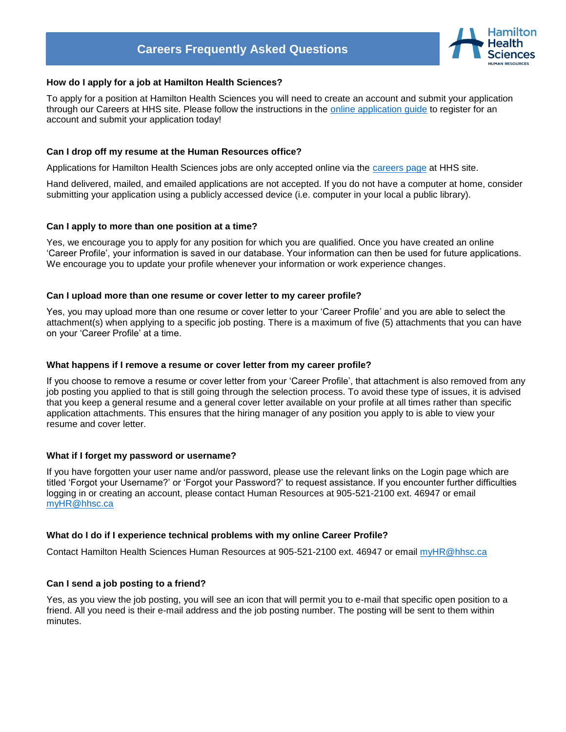

# **How do I apply for a job at Hamilton Health Sciences?**

To apply for a position at Hamilton Health Sciences you will need to create an account and submit your application through our Careers at HHS site. Please follow the instructions in the [online application guide](https://www.hamiltonhealthsciences.ca/wp-content/uploads/2019/03/HHS-Online-Application-Guide.pdf) to register for an account and submit your application today!

## **Can I drop off my resume at the Human Resources office?**

Applications for Hamilton Health Sciences jobs are only accepted online via the [careers page](http://www.hamiltonhealthsciences.ca/careers) at HHS site.

Hand delivered, mailed, and emailed applications are not accepted. If you do not have a computer at home, consider submitting your application using a publicly accessed device (i.e. computer in your local a public library).

## **Can I apply to more than one position at a time?**

Yes, we encourage you to apply for any position for which you are qualified. Once you have created an online 'Career Profile', your information is saved in our database. Your information can then be used for future applications. We encourage you to update your profile whenever your information or work experience changes.

## **Can I upload more than one resume or cover letter to my career profile?**

Yes, you may upload more than one resume or cover letter to your 'Career Profile' and you are able to select the attachment(s) when applying to a specific job posting. There is a maximum of five (5) attachments that you can have on your 'Career Profile' at a time.

## **What happens if I remove a resume or cover letter from my career profile?**

If you choose to remove a resume or cover letter from your 'Career Profile', that attachment is also removed from any job posting you applied to that is still going through the selection process. To avoid these type of issues, it is advised that you keep a general resume and a general cover letter available on your profile at all times rather than specific application attachments. This ensures that the hiring manager of any position you apply to is able to view your resume and cover letter.

## **What if I forget my password or username?**

If you have forgotten your user name and/or password, please use the relevant links on the Login page which are titled 'Forgot your Username?' or 'Forgot your Password?' to request assistance. If you encounter further difficulties logging in or creating an account, please contact Human Resources at 905-521-2100 ext. 46947 or email [myHR@hhsc.ca](mailto:myHR@hhsc.ca)

## **What do I do if I experience technical problems with my online Career Profile?**

Contact Hamilton Health Sciences Human Resources at 905-521-2100 ext. 46947 or email [myHR@hhsc.ca](mailto:myHR@hhsc.ca)

## **Can I send a job posting to a friend?**

Yes, as you view the job posting, you will see an icon that will permit you to e-mail that specific open position to a friend. All you need is their e-mail address and the job posting number. The posting will be sent to them within minutes.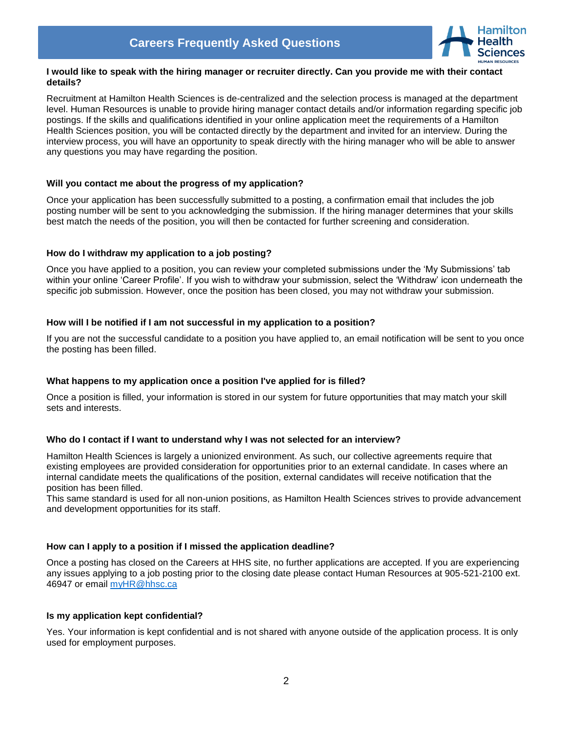

# **I would like to speak with the hiring manager or recruiter directly. Can you provide me with their contact details?**

Recruitment at Hamilton Health Sciences is de-centralized and the selection process is managed at the department level. Human Resources is unable to provide hiring manager contact details and/or information regarding specific job postings. If the skills and qualifications identified in your online application meet the requirements of a Hamilton Health Sciences position, you will be contacted directly by the department and invited for an interview. During the interview process, you will have an opportunity to speak directly with the hiring manager who will be able to answer any questions you may have regarding the position.

# **Will you contact me about the progress of my application?**

Once your application has been successfully submitted to a posting, a confirmation email that includes the job posting number will be sent to you acknowledging the submission. If the hiring manager determines that your skills best match the needs of the position, you will then be contacted for further screening and consideration.

# **How do I withdraw my application to a job posting?**

Once you have applied to a position, you can review your completed submissions under the 'My Submissions' tab within your online 'Career Profile'. If you wish to withdraw your submission, select the 'Withdraw' icon underneath the specific job submission. However, once the position has been closed, you may not withdraw your submission.

# **How will I be notified if I am not successful in my application to a position?**

If you are not the successful candidate to a position you have applied to, an email notification will be sent to you once the posting has been filled.

# **What happens to my application once a position I've applied for is filled?**

Once a position is filled, your information is stored in our system for future opportunities that may match your skill sets and interests.

## **Who do I contact if I want to understand why I was not selected for an interview?**

Hamilton Health Sciences is largely a unionized environment. As such, our collective agreements require that existing employees are provided consideration for opportunities prior to an external candidate. In cases where an internal candidate meets the qualifications of the position, external candidates will receive notification that the position has been filled.

This same standard is used for all non-union positions, as Hamilton Health Sciences strives to provide advancement and development opportunities for its staff.

# **How can I apply to a position if I missed the application deadline?**

Once a posting has closed on the Careers at HHS site, no further applications are accepted. If you are experiencing any issues applying to a job posting prior to the closing date please contact Human Resources at 905-521-2100 ext. 46947 or email [myHR@hhsc.ca](mailto:myHR@hhsc.ca)

## **Is my application kept confidential?**

Yes. Your information is kept confidential and is not shared with anyone outside of the application process. It is only used for employment purposes.